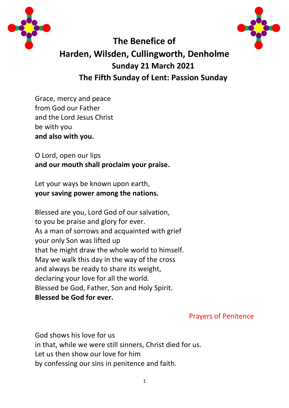



# **The Benefice of Harden, Wilsden, Cullingworth, Denholme Sunday 21 March 2021 The Fifth Sunday of Lent: Passion Sunday**

Grace, mercy and peace from God our Father and the Lord Jesus Christ be with you **and also with you.**

O Lord, open our lips **and our mouth shall proclaim your praise.**

Let your ways be known upon earth, **your saving power among the nations.**

Blessed are you, Lord God of our salvation, to you be praise and glory for ever. As a man of sorrows and acquainted with grief your only Son was lifted up that he might draw the whole world to himself. May we walk this day in the way of the cross and always be ready to share its weight, declaring your love for all the world. Blessed be God, Father, Son and Holy Spirit. **Blessed be God for ever.**

Prayers of Penitence

God shows his love for us in that, while we were still sinners, Christ died for us. Let us then show our love for him by confessing our sins in penitence and faith.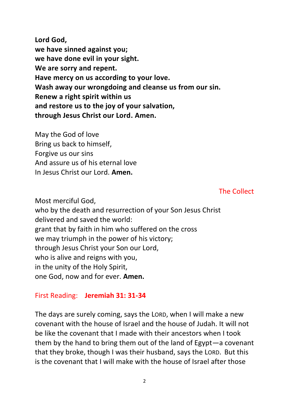**Lord God, we have sinned against you; we have done evil in your sight. We are sorry and repent. Have mercy on us according to your love. Wash away our wrongdoing and cleanse us from our sin. Renew a right spirit within us and restore us to the joy of your salvation, through Jesus Christ our Lord. Amen.**

May the God of love Bring us back to himself, Forgive us our sins And assure us of his eternal love In Jesus Christ our Lord. **Amen.**

The Collect

Most merciful God, who by the death and resurrection of your Son Jesus Christ delivered and saved the world: grant that by faith in him who suffered on the cross we may triumph in the power of his victory; through Jesus Christ your Son our Lord, who is alive and reigns with you, in the unity of the Holy Spirit, one God, now and for ever. **Amen.**

#### First Reading: **Jeremiah 31: 31-34**

The days are surely coming, says the LORD, when I will make a new covenant with the house of Israel and the house of Judah. It will not be like the covenant that I made with their ancestors when I took them by the hand to bring them out of the land of Egypt—a covenant that they broke, though I was their husband, says the LORD. But this is the covenant that I will make with the house of Israel after those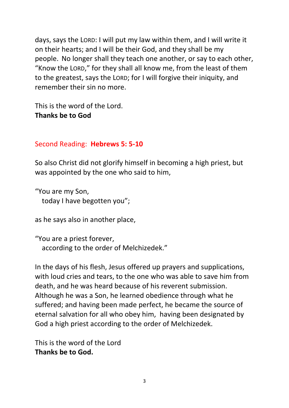days, says the LORD: I will put my law within them, and I will write it on their hearts; and I will be their God, and they shall be my people. No longer shall they teach one another, or say to each other, "Know the LORD," for they shall all know me, from the least of them to the greatest, says the LORD; for I will forgive their iniquity, and remember their sin no more.

This is the word of the Lord. **Thanks be to God**

# Second Reading: **Hebrews 5: 5-10**

So also Christ did not glorify himself in becoming a high priest, but was appointed by the one who said to him,

"You are my Son, today I have begotten you";

as he says also in another place,

"You are a priest forever, according to the order of Melchizedek."

In the days of his flesh, Jesus offered up prayers and supplications, with loud cries and tears, to the one who was able to save him from death, and he was heard because of his reverent submission. Although he was a Son, he learned obedience through what he suffered; and having been made perfect, he became the source of eternal salvation for all who obey him, having been designated by God a high priest according to the order of Melchizedek.

This is the word of the Lord **Thanks be to God.**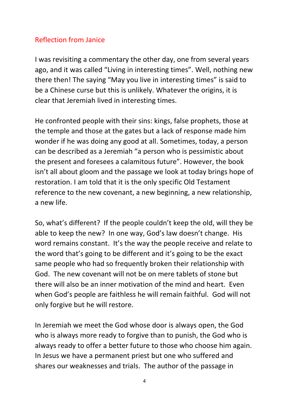# Reflection from Janice

I was revisiting a commentary the other day, one from several years ago, and it was called "Living in interesting times". Well, nothing new there then! The saying "May you live in interesting times" is said to be a Chinese curse but this is unlikely. Whatever the origins, it is clear that Jeremiah lived in interesting times.

He confronted people with their sins: kings, false prophets, those at the temple and those at the gates but a lack of response made him wonder if he was doing any good at all. Sometimes, today, a person can be described as a Jeremiah "a person who is pessimistic about the present and foresees a calamitous future". However, the book isn't all about gloom and the passage we look at today brings hope of restoration. I am told that it is the only specific Old Testament reference to the new covenant, a new beginning, a new relationship, a new life.

So, what's different? If the people couldn't keep the old, will they be able to keep the new? In one way, God's law doesn't change. His word remains constant. It's the way the people receive and relate to the word that's going to be different and it's going to be the exact same people who had so frequently broken their relationship with God. The new covenant will not be on mere tablets of stone but there will also be an inner motivation of the mind and heart. Even when God's people are faithless he will remain faithful. God will not only forgive but he will restore.

In Jeremiah we meet the God whose door is always open, the God who is always more ready to forgive than to punish, the God who is always ready to offer a better future to those who choose him again. In Jesus we have a permanent priest but one who suffered and shares our weaknesses and trials. The author of the passage in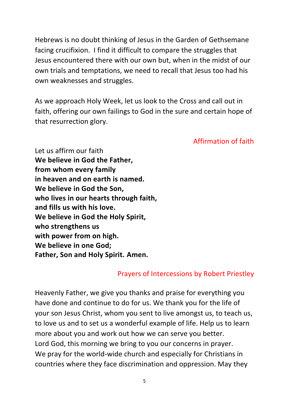Hebrews is no doubt thinking of Jesus in the Garden of Gethsemane facing crucifixion. I find it difficult to compare the struggles that Jesus encountered there with our own but, when in the midst of our own trials and temptations, we need to recall that Jesus too had his own weaknesses and struggles.

As we approach Holy Week, let us look to the Cross and call out in faith, offering our own failings to God in the sure and certain hope of that resurrection glory.

### Affirmation of faith

Let us affirm our faith **We believe in God the Father, from whom every family in heaven and on earth is named. We believe in God the Son, who lives in our hearts through faith, and fills us with his love. We believe in God the Holy Spirit, who strengthens us with power from on high. We believe in one God; Father, Son and Holy Spirit. Amen.**

# Prayers of Intercessions by Robert Priestley

Heavenly Father, we give you thanks and praise for everything you have done and continue to do for us. We thank you for the life of your son Jesus Christ, whom you sent to live amongst us, to teach us, to love us and to set us a wonderful example of life. Help us to learn more about you and work out how we can serve you better. Lord God, this morning we bring to you our concerns in prayer. We pray for the world-wide church and especially for Christians in countries where they face discrimination and oppression. May they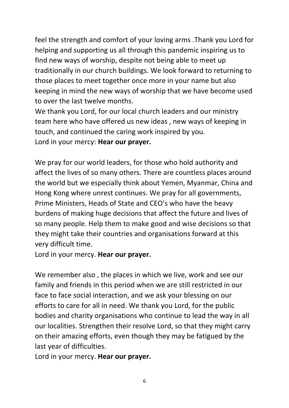feel the strength and comfort of your loving arms .Thank you Lord for helping and supporting us all through this pandemic inspiring us to find new ways of worship, despite not being able to meet up traditionally in our church buildings. We look forward to returning to those places to meet together once more in your name but also keeping in mind the new ways of worship that we have become used to over the last twelve months.

We thank you Lord, for our local church leaders and our ministry team here who have offered us new ideas , new ways of keeping in touch, and continued the caring work inspired by you. Lord in your mercy: **Hear our prayer.**

We pray for our world leaders, for those who hold authority and affect the lives of so many others. There are countless places around the world but we especially think about Yemen, Myanmar, China and Hong Kong where unrest continues. We pray for all governments, Prime Ministers, Heads of State and CEO's who have the heavy burdens of making huge decisions that affect the future and lives of so many people. Help them to make good and wise decisions so that they might take their countries and organisations forward at this very difficult time.

Lord in your mercy. **Hear our prayer.**

We remember also , the places in which we live, work and see our family and friends in this period when we are still restricted in our face to face social interaction, and we ask your blessing on our efforts to care for all in need. We thank you Lord, for the public bodies and charity organisations who continue to lead the way in all our localities. Strengthen their resolve Lord, so that they might carry on their amazing efforts, even though they may be fatigued by the last year of difficulties.

Lord in your mercy. **Hear our prayer.**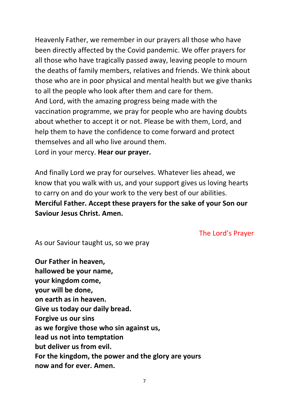Heavenly Father, we remember in our prayers all those who have been directly affected by the Covid pandemic. We offer prayers for all those who have tragically passed away, leaving people to mourn the deaths of family members, relatives and friends. We think about those who are in poor physical and mental health but we give thanks to all the people who look after them and care for them. And Lord, with the amazing progress being made with the vaccination programme, we pray for people who are having doubts about whether to accept it or not. Please be with them, Lord, and help them to have the confidence to come forward and protect themselves and all who live around them. Lord in your mercy. **Hear our prayer.**

And finally Lord we pray for ourselves. Whatever lies ahead, we know that you walk with us, and your support gives us loving hearts to carry on and do your work to the very best of our abilities. **Merciful Father. Accept these prayers for the sake of your Son our Saviour Jesus Christ. Amen.**

The Lord's Prayer

As our Saviour taught us, so we pray

**Our Father in heaven, hallowed be your name, your kingdom come, your will be done, on earth as in heaven. Give us today our daily bread. Forgive us our sins as we forgive those who sin against us, lead us not into temptation but deliver us from evil. For the kingdom, the power and the glory are yours now and for ever. Amen.**